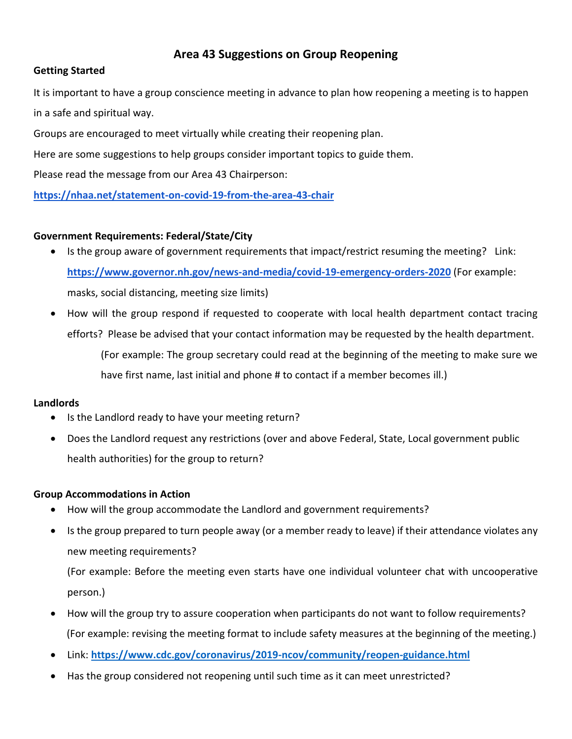# **Area 43 Suggestions on Group Reopening**

## **Getting Started**

It is important to have a group conscience meeting in advance to plan how reopening a meeting is to happen in a safe and spiritual way.

Groups are encouraged to meet virtually while creating their reopening plan.

Here are some suggestions to help groups consider important topics to guide them.

Please read the message from our Area 43 Chairperson:

**<https://nhaa.net/statement-on-covid-19-from-the-area-43-chair>**

## **Government Requirements: Federal/State/City**

- Is the group aware of government requirements that impact/restrict resuming the meeting? Link: **<https://www.governor.nh.gov/news-and-media/covid-19-emergency-orders-2020>** (For example: masks, social distancing, meeting size limits)
- How will the group respond if requested to cooperate with local health department contact tracing efforts? Please be advised that your contact information may be requested by the health department. (For example: The group secretary could read at the beginning of the meeting to make sure we have first name, last initial and phone # to contact if a member becomes ill.)

### **Landlords**

- Is the Landlord ready to have your meeting return?
- Does the Landlord request any restrictions (over and above Federal, State, Local government public health authorities) for the group to return?

### **Group Accommodations in Action**

- How will the group accommodate the Landlord and government requirements?
- Is the group prepared to turn people away (or a member ready to leave) if their attendance violates any new meeting requirements?

(For example: Before the meeting even starts have one individual volunteer chat with uncooperative person.)

- How will the group try to assure cooperation when participants do not want to follow requirements? (For example: revising the meeting format to include safety measures at the beginning of the meeting.)
- Link: **<https://www.cdc.gov/coronavirus/2019-ncov/community/reopen-guidance.html>**
- Has the group considered not reopening until such time as it can meet unrestricted?